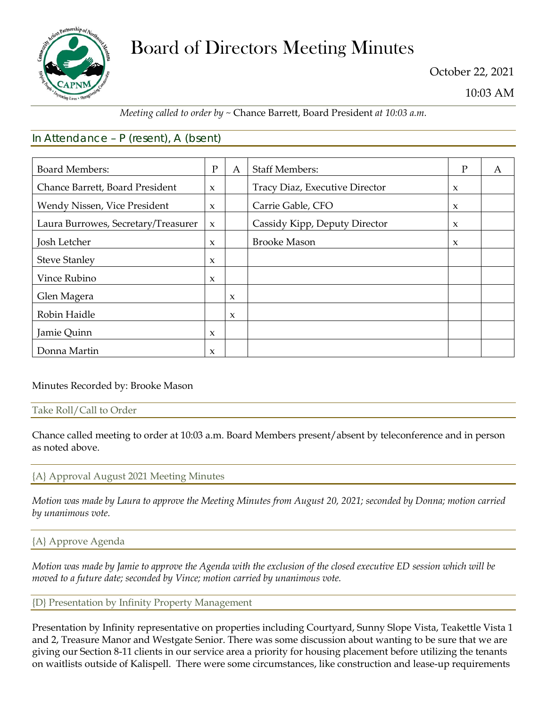

# Board of Directors Meeting Minutes

October 22, 2021

10:03 AM

# *Meeting called to order by ~* Chance Barrett, Board President *at 10:03 a.m.*

# In Attendance – P (resent), A (bsent)

| <b>Board Members:</b>               | $\mathbf{P}$        | A                   | <b>Staff Members:</b>          | P                   | A |
|-------------------------------------|---------------------|---------------------|--------------------------------|---------------------|---|
| Chance Barrett, Board President     | $\mathbf{x}$        |                     | Tracy Diaz, Executive Director | $\mathbf{x}$        |   |
| Wendy Nissen, Vice President        | $\mathbf{x}$        |                     | Carrie Gable, CFO              | $\boldsymbol{\chi}$ |   |
| Laura Burrowes, Secretary/Treasurer | $\mathbf{x}$        |                     | Cassidy Kipp, Deputy Director  | $\boldsymbol{\chi}$ |   |
| Josh Letcher                        | $\mathbf{x}$        |                     | <b>Brooke Mason</b>            | $\boldsymbol{\chi}$ |   |
| <b>Steve Stanley</b>                | $\mathbf{x}$        |                     |                                |                     |   |
| Vince Rubino                        | $\mathbf{x}$        |                     |                                |                     |   |
| Glen Magera                         |                     | $\mathbf{x}$        |                                |                     |   |
| Robin Haidle                        |                     | $\boldsymbol{\chi}$ |                                |                     |   |
| Jamie Quinn                         | $\boldsymbol{\chi}$ |                     |                                |                     |   |
| Donna Martin                        | $\mathbf{x}$        |                     |                                |                     |   |

# Minutes Recorded by: Brooke Mason

#### Take Roll/Call to Order

Chance called meeting to order at 10:03 a.m. Board Members present/absent by teleconference and in person as noted above.

# {A} Approval August 2021 Meeting Minutes

*Motion was made by Laura to approve the Meeting Minutes from August 20, 2021; seconded by Donna; motion carried by unanimous vote.*

# {A} Approve Agenda

*Motion was made by Jamie to approve the Agenda with the exclusion of the closed executive ED session which will be moved to a future date; seconded by Vince; motion carried by unanimous vote.*

#### {D} Presentation by Infinity Property Management

Presentation by Infinity representative on properties including Courtyard, Sunny Slope Vista, Teakettle Vista 1 and 2, Treasure Manor and Westgate Senior. There was some discussion about wanting to be sure that we are giving our Section 8-11 clients in our service area a priority for housing placement before utilizing the tenants on waitlists outside of Kalispell. There were some circumstances, like construction and lease-up requirements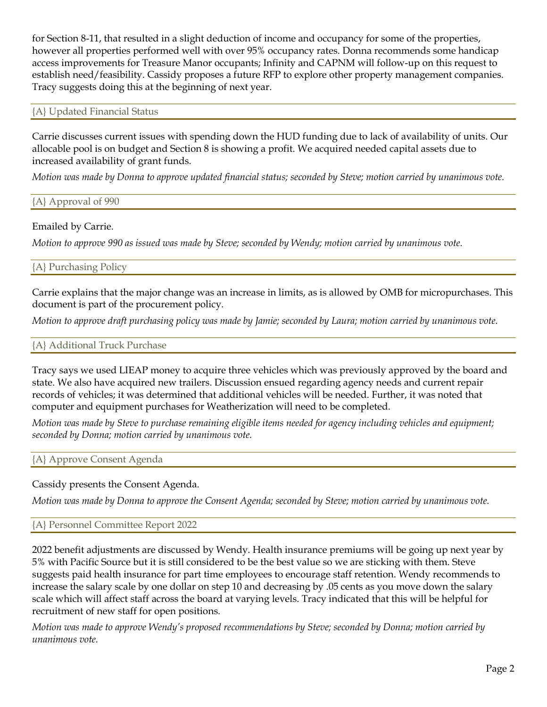for Section 8-11, that resulted in a slight deduction of income and occupancy for some of the properties, however all properties performed well with over 95% occupancy rates. Donna recommends some handicap access improvements for Treasure Manor occupants; Infinity and CAPNM will follow-up on this request to establish need/feasibility. Cassidy proposes a future RFP to explore other property management companies. Tracy suggests doing this at the beginning of next year.

#### {A} Updated Financial Status

Carrie discusses current issues with spending down the HUD funding due to lack of availability of units. Our allocable pool is on budget and Section 8 is showing a profit. We acquired needed capital assets due to increased availability of grant funds.

*Motion was made by Donna to approve updated financial status; seconded by Steve; motion carried by unanimous vote.*

{A} Approval of 990

# Emailed by Carrie.

*Motion to approve 990 as issued was made by Steve; seconded by Wendy; motion carried by unanimous vote.*

# {A} Purchasing Policy

Carrie explains that the major change was an increase in limits, as is allowed by OMB for micropurchases. This document is part of the procurement policy.

*Motion to approve draft purchasing policy was made by Jamie; seconded by Laura; motion carried by unanimous vote.*

#### {A} Additional Truck Purchase

Tracy says we used LIEAP money to acquire three vehicles which was previously approved by the board and state. We also have acquired new trailers. Discussion ensued regarding agency needs and current repair records of vehicles; it was determined that additional vehicles will be needed. Further, it was noted that computer and equipment purchases for Weatherization will need to be completed.

*Motion was made by Steve to purchase remaining eligible items needed for agency including vehicles and equipment; seconded by Donna; motion carried by unanimous vote.*

# {A} Approve Consent Agenda

# Cassidy presents the Consent Agenda.

*Motion was made by Donna to approve the Consent Agenda; seconded by Steve; motion carried by unanimous vote.*

#### {A} Personnel Committee Report 2022

2022 benefit adjustments are discussed by Wendy. Health insurance premiums will be going up next year by 5% with Pacific Source but it is still considered to be the best value so we are sticking with them. Steve suggests paid health insurance for part time employees to encourage staff retention. Wendy recommends to increase the salary scale by one dollar on step 10 and decreasing by .05 cents as you move down the salary scale which will affect staff across the board at varying levels. Tracy indicated that this will be helpful for recruitment of new staff for open positions.

*Motion was made to approve Wendy's proposed recommendations by Steve; seconded by Donna; motion carried by unanimous vote.*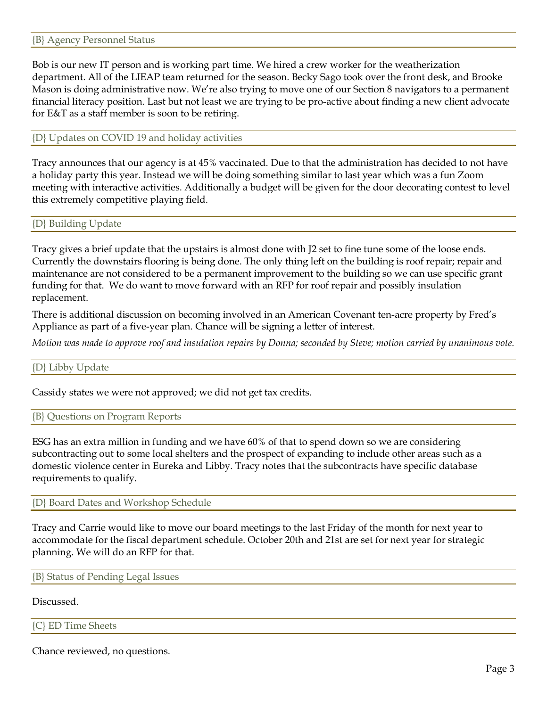Bob is our new IT person and is working part time. We hired a crew worker for the weatherization department. All of the LIEAP team returned for the season. Becky Sago took over the front desk, and Brooke Mason is doing administrative now. We're also trying to move one of our Section 8 navigators to a permanent financial literacy position. Last but not least we are trying to be pro-active about finding a new client advocate for E&T as a staff member is soon to be retiring.

#### {D} Updates on COVID 19 and holiday activities

Tracy announces that our agency is at 45% vaccinated. Due to that the administration has decided to not have a holiday party this year. Instead we will be doing something similar to last year which was a fun Zoom meeting with interactive activities. Additionally a budget will be given for the door decorating contest to level this extremely competitive playing field.

{D} Building Update

Tracy gives a brief update that the upstairs is almost done with J2 set to fine tune some of the loose ends. Currently the downstairs flooring is being done. The only thing left on the building is roof repair; repair and maintenance are not considered to be a permanent improvement to the building so we can use specific grant funding for that. We do want to move forward with an RFP for roof repair and possibly insulation replacement.

There is additional discussion on becoming involved in an American Covenant ten-acre property by Fred's Appliance as part of a five-year plan. Chance will be signing a letter of interest.

*Motion was made to approve roof and insulation repairs by Donna; seconded by Steve; motion carried by unanimous vote.*

#### {D} Libby Update

Cassidy states we were not approved; we did not get tax credits.

{B} Questions on Program Reports

ESG has an extra million in funding and we have 60% of that to spend down so we are considering subcontracting out to some local shelters and the prospect of expanding to include other areas such as a domestic violence center in Eureka and Libby. Tracy notes that the subcontracts have specific database requirements to qualify.

{D} Board Dates and Workshop Schedule

Tracy and Carrie would like to move our board meetings to the last Friday of the month for next year to accommodate for the fiscal department schedule. October 20th and 21st are set for next year for strategic planning. We will do an RFP for that.

{B} Status of Pending Legal Issues

#### Discussed.

{C} ED Time Sheets

Chance reviewed, no questions.